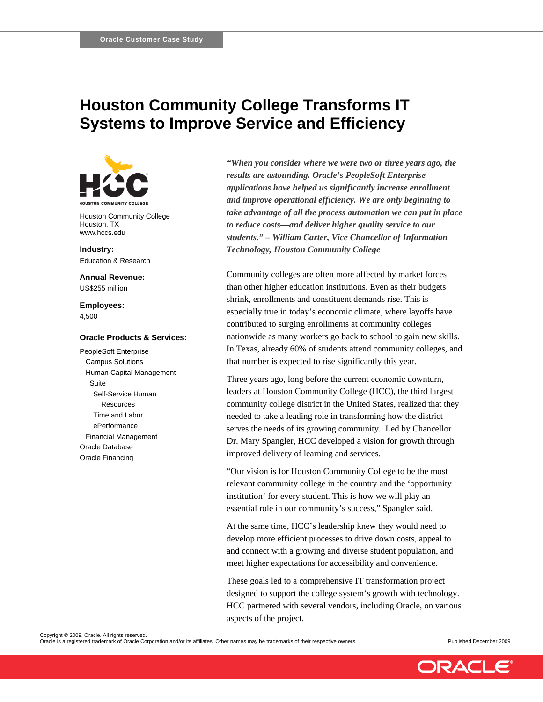# **Houston Community College Transforms IT Systems to Improve Service and Efficiency**



Houston Community College Houston, TX [www.hccs.edu](http://www.hccs.edu/) 

**Industry:**  Education & Research

**Annual Revenue:**  US\$255 million

**Employees:**  4,500

## **Oracle Products & Services:**

PeopleSoft Enterprise Campus Solutions Human Capital Management Suite Self-Service Human **Resources**  Time and Labor ePerformance Financial Management Oracle Database Oracle Financing

*"When you consider where we were two or three years ago, the results are astounding. Oracle's PeopleSoft Enterprise applications have helped us significantly increase enrollment and improve operational efficiency. We are only beginning to take advantage of all the process automation we can put in place to reduce costs—and deliver higher quality service to our students." – William Carter, Vice Chancellor of Information Technology, Houston Community College* 

Community colleges are often more affected by market forces than other higher education institutions. Even as their budgets shrink, enrollments and constituent demands rise. This is especially true in today's economic climate, where layoffs have contributed to surging enrollments at community colleges nationwide as many workers go back to school to gain new skills. In Texas, already 60% of students attend community colleges, and that number is expected to rise significantly this year.

Three years ago, long before the current economic downturn, leaders at Houston Community College (HCC), the third largest community college district in the United States, realized that they needed to take a leading role in transforming how the district serves the needs of its growing community. Led by Chancellor Dr. Mary Spangler, HCC developed a vision for growth through improved delivery of learning and services.

"Our vision is for Houston Community College to be the most relevant community college in the country and the 'opportunity institution' for every student. This is how we will play an essential role in our community's success," Spangler said.

At the same time, HCC's leadership knew they would need to develop more efficient processes to drive down costs, appeal to and connect with a growing and diverse student population, and meet higher expectations for accessibility and convenience.

These goals led to a comprehensive IT transformation project designed to support the college system's growth with technology. HCC partnered with several vendors, including Oracle, on various aspects of the project.

Copyright © 2009, Oracle. All rights reserved.

Oracle is a registered trademark of Oracle Corporation and/or its affiliates. Other names may be trademarks of their respective owners. Published December 2009

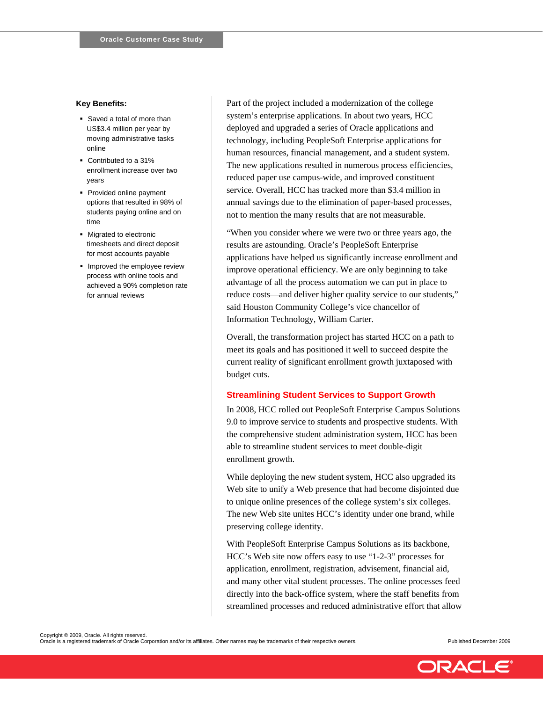#### **Key Benefits:**

- Saved a total of more than US\$3.4 million per year by moving administrative tasks online
- Contributed to a 31% enrollment increase over two years
- **Provided online payment** options that resulted in 98% of students paying online and on time
- **Migrated to electronic** timesheets and direct deposit for most accounts payable
- **Improved the employee review** process with online tools and achieved a 90% completion rate for annual reviews

Part of the project included a modernization of the college system's enterprise applications. In about two years, HCC deployed and upgraded a series of Oracle applications and technology, including PeopleSoft Enterprise applications for human resources, financial management, and a student system. The new applications resulted in numerous process efficiencies, reduced paper use campus-wide, and improved constituent service. Overall, HCC has tracked more than \$3.4 million in annual savings due to the elimination of paper-based processes, not to mention the many results that are not measurable.

"When you consider where we were two or three years ago, the results are astounding. Oracle's PeopleSoft Enterprise applications have helped us significantly increase enrollment and improve operational efficiency. We are only beginning to take advantage of all the process automation we can put in place to reduce costs—and deliver higher quality service to our students," said Houston Community College's vice chancellor of Information Technology, William Carter.

Overall, the transformation project has started HCC on a path to meet its goals and has positioned it well to succeed despite the current reality of significant enrollment growth juxtaposed with budget cuts.

# **Streamlining Student Services to Support Growth**

In 2008, HCC rolled out PeopleSoft Enterprise Campus Solutions 9.0 to improve service to students and prospective students. With the comprehensive student administration system, HCC has been able to streamline student services to meet double-digit enrollment growth.

While deploying the new student system, HCC also upgraded its Web site to unify a Web presence that had become disjointed due to unique online presences of the college system's six colleges. The new Web site unites HCC's identity under one brand, while preserving college identity.

With PeopleSoft Enterprise Campus Solutions as its backbone, HCC's Web site now offers easy to use "1-2-3" processes for application, enrollment, registration, advisement, financial aid, and many other vital student processes. The online processes feed directly into the back-office system, where the staff benefits from streamlined processes and reduced administrative effort that allow

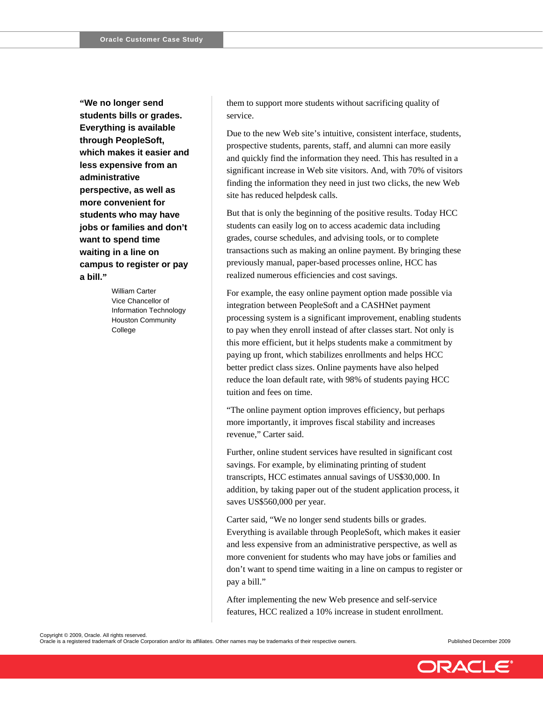**"We no longer send students bills or grades. Everything is available through PeopleSoft, which makes it easier and less expensive from an administrative perspective, as well as more convenient for students who may have jobs or families and don't want to spend time waiting in a line on campus to register or pay a bill."**

> William Carter Vice Chancellor of Information Technology Houston Community College

them to support more students without sacrificing quality of service.

Due to the new Web site's intuitive, consistent interface, students, prospective students, parents, staff, and alumni can more easily and quickly find the information they need. This has resulted in a significant increase in Web site visitors. And, with 70% of visitors finding the information they need in just two clicks, the new Web site has reduced helpdesk calls.

But that is only the beginning of the positive results. Today HCC students can easily log on to access academic data including grades, course schedules, and advising tools, or to complete transactions such as making an online payment. By bringing these previously manual, paper-based processes online, HCC has realized numerous efficiencies and cost savings.

For example, the easy online payment option made possible via integration between PeopleSoft and a CASHNet payment processing system is a significant improvement, enabling students to pay when they enroll instead of after classes start. Not only is this more efficient, but it helps students make a commitment by paying up front, which stabilizes enrollments and helps HCC better predict class sizes. Online payments have also helped reduce the loan default rate, with 98% of students paying HCC tuition and fees on time.

"The online payment option improves efficiency, but perhaps more importantly, it improves fiscal stability and increases revenue," Carter said.

Further, online student services have resulted in significant cost savings. For example, by eliminating printing of student transcripts, HCC estimates annual savings of US\$30,000. In addition, by taking paper out of the student application process, it saves US\$560,000 per year.

Carter said, "We no longer send students bills or grades. Everything is available through PeopleSoft, which makes it easier and less expensive from an administrative perspective, as well as more convenient for students who may have jobs or families and don't want to spend time waiting in a line on campus to register or pay a bill."

After implementing the new Web presence and self-service features, HCC realized a 10% increase in student enrollment.

Oracle is a registered trademark of Oracle Corporation and/or its affiliates. Other names may be trademarks of their respective owners. Published December 2009



Copyright © 2009, Oracle. All rights reserved.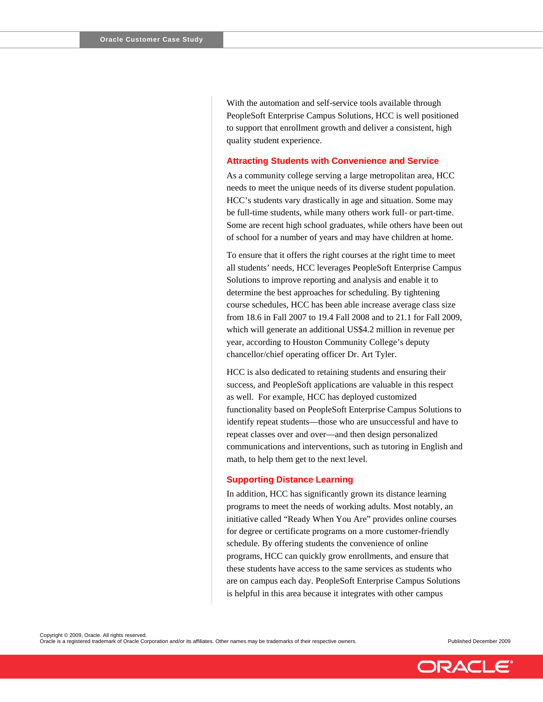With the automation and self-service tools available through PeopleSoft Enterprise Campus Solutions, HCC is well positioned to support that enrollment growth and deliver a consistent, high quality student experience.

# **Attracting Students with Convenience and Service**

As a community college serving a large metropolitan area, HCC needs to meet the unique needs of its diverse student population. HCC's students vary drastically in age and situation. Some may be full-time students, while many others work full- or part-time. Some are recent high school graduates, while others have been out of school for a number of years and may have children at home.

To ensure that it offers the right courses at the right time to meet all students' needs, HCC leverages PeopleSoft Enterprise Campus Solutions to improve reporting and analysis and enable it to determine the best approaches for scheduling. By tightening course schedules, HCC has been able increase average class size from 18.6 in Fall 2007 to 19.4 Fall 2008 and to 21.1 for Fall 2009, which will generate an additional US\$4.2 million in revenue per year, according to Houston Community College's deputy chancellor/chief operating officer Dr. Art Tyler.

HCC is also dedicated to retaining students and ensuring their success, and PeopleSoft applications are valuable in this respect as well. For example, HCC has deployed customized functionality based on PeopleSoft Enterprise Campus Solutions to identify repeat students—those who are unsuccessful and have to repeat classes over and over—and then design personalized communications and interventions, such as tutoring in English and math, to help them get to the next level.

## **Supporting Distance Learning**

In addition, HCC has significantly grown its distance learning programs to meet the needs of working adults. Most notably, an initiative called "Ready When You Are" provides online courses for degree or certificate programs on a more customer-friendly schedule. By offering students the convenience of online programs, HCC can quickly grow enrollments, and ensure that these students have access to the same services as students who are on campus each day. PeopleSoft Enterprise Campus Solutions is helpful in this area because it integrates with other campus



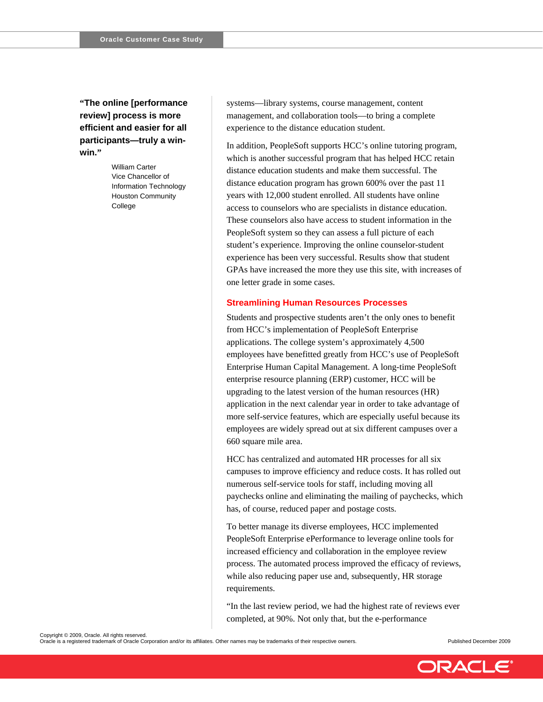**"The online [performance review] process is more efficient and easier for all participants—truly a winwin."**

> William Carter Vice Chancellor of Information Technology Houston Community College

systems—library systems, course management, content management, and collaboration tools—to bring a complete experience to the distance education student.

In addition, PeopleSoft supports HCC's online tutoring program, which is another successful program that has helped HCC retain distance education students and make them successful. The distance education program has grown 600% over the past 11 years with 12,000 student enrolled. All students have online access to counselors who are specialists in distance education. These counselors also have access to student information in the PeopleSoft system so they can assess a full picture of each student's experience. Improving the online counselor-student experience has been very successful. Results show that student GPAs have increased the more they use this site, with increases of one letter grade in some cases.

# **Streamlining Human Resources Processes**

Students and prospective students aren't the only ones to benefit from HCC's implementation of PeopleSoft Enterprise applications. The college system's approximately 4,500 employees have benefitted greatly from HCC's use of PeopleSoft Enterprise Human Capital Management. A long-time PeopleSoft enterprise resource planning (ERP) customer, HCC will be upgrading to the latest version of the human resources (HR) application in the next calendar year in order to take advantage of more self-service features, which are especially useful because its employees are widely spread out at six different campuses over a 660 square mile area.

HCC has centralized and automated HR processes for all six campuses to improve efficiency and reduce costs. It has rolled out numerous self-service tools for staff, including moving all paychecks online and eliminating the mailing of paychecks, which has, of course, reduced paper and postage costs.

To better manage its diverse employees, HCC implemented PeopleSoft Enterprise ePerformance to leverage online tools for increased efficiency and collaboration in the employee review process. The automated process improved the efficacy of reviews, while also reducing paper use and, subsequently, HR storage requirements.

"In the last review period, we had the highest rate of reviews ever completed, at 90%. Not only that, but the e-performance

Copyright © 2009, Oracle. All rights reserved.

Oracle is a registered trademark of Oracle Corporation and/or its affiliates. Other names may be trademarks of their respective owners. Published December 2009

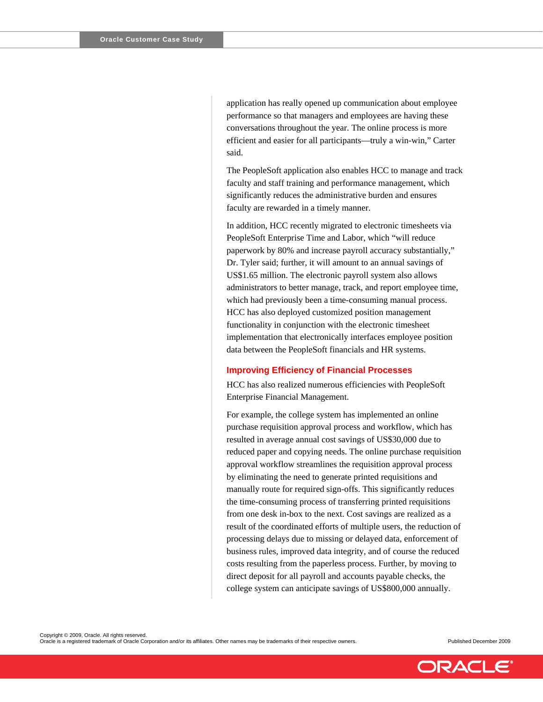application has really opened up communication about employee performance so that managers and employees are having these conversations throughout the year. The online process is more efficient and easier for all participants—truly a win-win," Carter said.

The PeopleSoft application also enables HCC to manage and track faculty and staff training and performance management, which significantly reduces the administrative burden and ensures faculty are rewarded in a timely manner.

In addition, HCC recently migrated to electronic timesheets via PeopleSoft Enterprise Time and Labor, which "will reduce paperwork by 80% and increase payroll accuracy substantially," Dr. Tyler said; further, it will amount to an annual savings of US\$1.65 million. The electronic payroll system also allows administrators to better manage, track, and report employee time, which had previously been a time-consuming manual process. HCC has also deployed customized position management functionality in conjunction with the electronic timesheet implementation that electronically interfaces employee position data between the PeopleSoft financials and HR systems.

## **Improving Efficiency of Financial Processes**

HCC has also realized numerous efficiencies with PeopleSoft Enterprise Financial Management.

For example, the college system has implemented an online purchase requisition approval process and workflow, which has resulted in average annual cost savings of US\$30,000 due to reduced paper and copying needs. The online purchase requisition approval workflow streamlines the requisition approval process by eliminating the need to generate printed requisitions and manually route for required sign-offs. This significantly reduces the time-consuming process of transferring printed requisitions from one desk in-box to the next. Cost savings are realized as a result of the coordinated efforts of multiple users, the reduction of processing delays due to missing or delayed data, enforcement of business rules, improved data integrity, and of course the reduced costs resulting from the paperless process. Further, by moving to direct deposit for all payroll and accounts payable checks, the college system can anticipate savings of US\$800,000 annually.

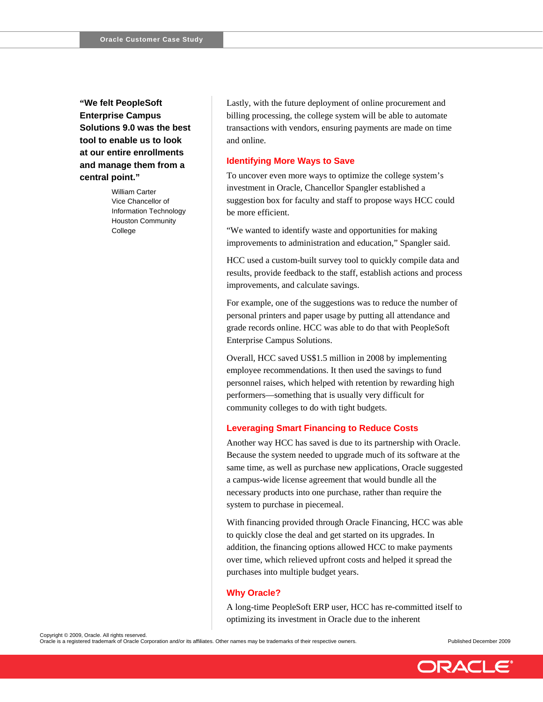**"We felt PeopleSoft Enterprise Campus Solutions 9.0 was the best tool to enable us to look at our entire enrollments and manage them from a central point."** 

> William Carter Vice Chancellor of Information Technology Houston Community College

Lastly, with the future deployment of online procurement and billing processing, the college system will be able to automate transactions with vendors, ensuring payments are made on time and online.

## **Identifying More Ways to Save**

To uncover even more ways to optimize the college system's investment in Oracle, Chancellor Spangler established a suggestion box for faculty and staff to propose ways HCC could be more efficient.

"We wanted to identify waste and opportunities for making improvements to administration and education," Spangler said.

HCC used a custom-built survey tool to quickly compile data and results, provide feedback to the staff, establish actions and process improvements, and calculate savings.

For example, one of the suggestions was to reduce the number of personal printers and paper usage by putting all attendance and grade records online. HCC was able to do that with PeopleSoft Enterprise Campus Solutions.

Overall, HCC saved US\$1.5 million in 2008 by implementing employee recommendations. It then used the savings to fund personnel raises, which helped with retention by rewarding high performers—something that is usually very difficult for community colleges to do with tight budgets.

# **Leveraging Smart Financing to Reduce Costs**

Another way HCC has saved is due to its partnership with Oracle. Because the system needed to upgrade much of its software at the same time, as well as purchase new applications, Oracle suggested a campus-wide license agreement that would bundle all the necessary products into one purchase, rather than require the system to purchase in piecemeal.

With financing provided through Oracle Financing, HCC was able to quickly close the deal and get started on its upgrades. In addition, the financing options allowed HCC to make payments over time, which relieved upfront costs and helped it spread the purchases into multiple budget years.

## **Why Oracle?**

A long-time PeopleSoft ERP user, HCC has re-committed itself to optimizing its investment in Oracle due to the inherent

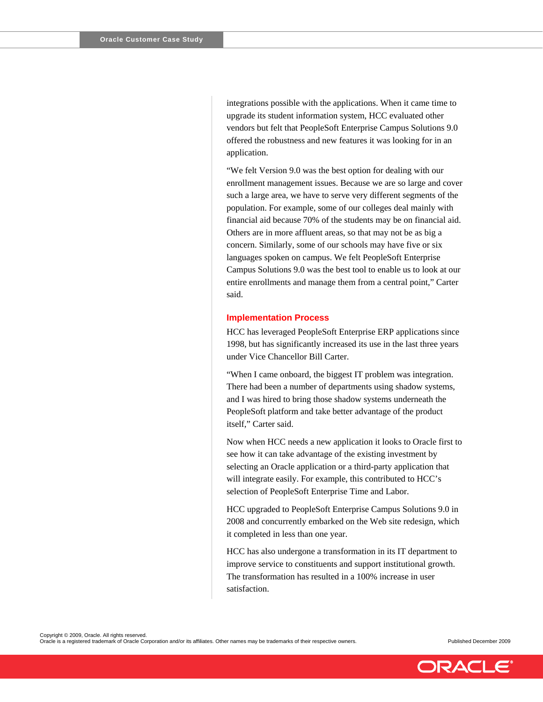integrations possible with the applications. When it came time to upgrade its student information system, HCC evaluated other vendors but felt that PeopleSoft Enterprise Campus Solutions 9.0 offered the robustness and new features it was looking for in an application.

"We felt Version 9.0 was the best option for dealing with our enrollment management issues. Because we are so large and cover such a large area, we have to serve very different segments of the population. For example, some of our colleges deal mainly with financial aid because 70% of the students may be on financial aid. Others are in more affluent areas, so that may not be as big a concern. Similarly, some of our schools may have five or six languages spoken on campus. We felt PeopleSoft Enterprise Campus Solutions 9.0 was the best tool to enable us to look at our entire enrollments and manage them from a central point," Carter said.

## **Implementation Process**

HCC has leveraged PeopleSoft Enterprise ERP applications since 1998, but has significantly increased its use in the last three years under Vice Chancellor Bill Carter.

"When I came onboard, the biggest IT problem was integration. There had been a number of departments using shadow systems, and I was hired to bring those shadow systems underneath the PeopleSoft platform and take better advantage of the product itself," Carter said.

Now when HCC needs a new application it looks to Oracle first to see how it can take advantage of the existing investment by selecting an Oracle application or a third-party application that will integrate easily. For example, this contributed to HCC's selection of PeopleSoft Enterprise Time and Labor.

HCC upgraded to PeopleSoft Enterprise Campus Solutions 9.0 in 2008 and concurrently embarked on the Web site redesign, which it completed in less than one year.

HCC has also undergone a transformation in its IT department to improve service to constituents and support institutional growth. The transformation has resulted in a 100% increase in user satisfaction.